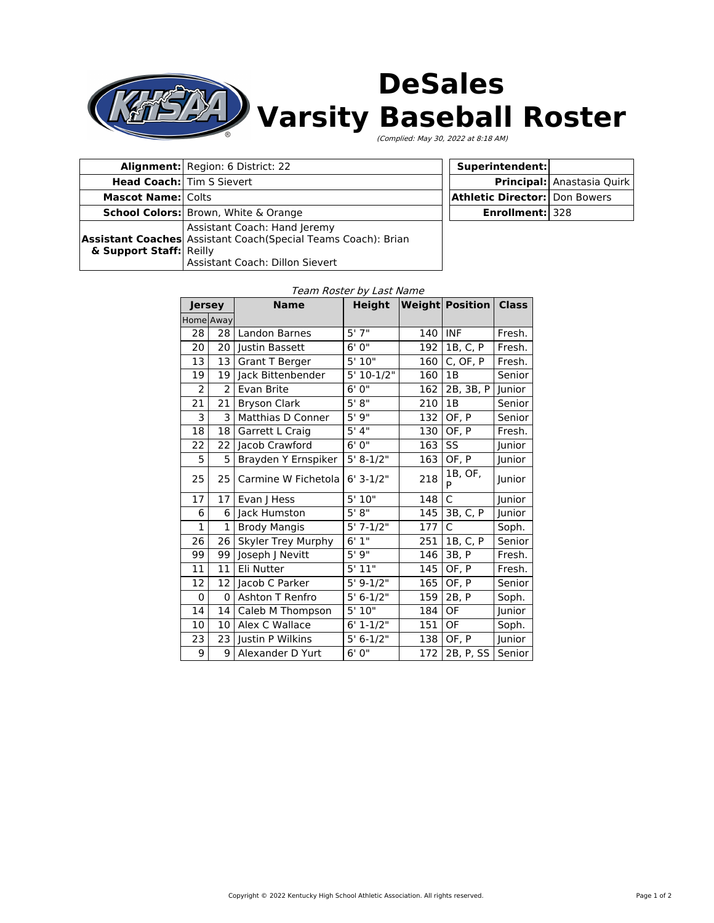

# **DeSales Varsity Baseball Roster**

(Complied: May 30, 2022 at 8:18 AM)

| <b>Alignment:</b> Region: 6 District: 22    |                                                                                                                                   |  |
|---------------------------------------------|-----------------------------------------------------------------------------------------------------------------------------------|--|
|                                             | <b>Head Coach:</b> Tim S Sievert                                                                                                  |  |
| <b>Mascot Name: Colts</b>                   |                                                                                                                                   |  |
| <b>School Colors:</b> Brown, White & Orange |                                                                                                                                   |  |
| & Support Staff: Reilly                     | Assistant Coach: Hand Jeremy<br>Assistant Coaches Assistant Coach (Special Teams Coach): Brian<br>Assistant Coach: Dillon Sievert |  |

| Superintendent:                        |                            |  |
|----------------------------------------|----------------------------|--|
|                                        | Principal: Anastasia Quirk |  |
| <b>Athletic Director:   Don Bowers</b> |                            |  |
| <b>Enrollment: 328</b>                 |                            |  |

### Team Roster by Last Name

| <b>Jersey</b>           |               | <b>Name</b>               | <b>Height</b> |     | <b>Weight Position</b> | <b>Class</b> |
|-------------------------|---------------|---------------------------|---------------|-----|------------------------|--------------|
| Home Away               |               |                           |               |     |                        |              |
| 28                      | 28            | <b>Landon Barnes</b>      | 5'7''         | 140 | <b>INF</b>             | Fresh.       |
| 20                      | 20            | Justin Bassett            | 6'0''         | 192 | 1B, C, P               | Fresh.       |
| 13                      | 13            | <b>Grant T Berger</b>     | 5'10"         | 160 | C, OF, P               | Fresh.       |
| 19                      | 19            | Jack Bittenbender         | 5' 10-1/2"    | 160 | 1B                     | Senior       |
| 2                       | $\mathcal{P}$ | Evan Brite                | 6' 0"         | 162 | 2B, 3B, P              | Junior       |
| 21                      | 21            | <b>Bryson Clark</b>       | 5' 8''        | 210 | 1B                     | Senior       |
| $\overline{\mathbf{3}}$ | 3             | Matthias D Conner         | 5'9''         | 132 | OF, P                  | Senior       |
| 18                      | 18            | Garrett L Craig           | 5' 4''        | 130 | OF, P                  | Fresh.       |
| 22                      | 22            | Jacob Crawford            | 6'0''         | 163 | SS                     | Junior       |
| 5                       | 5             | Brayden Y Ernspiker       | $5' 8-1/2"$   | 163 | OF, P                  | Junior       |
| 25                      | 25            | Carmine W Fichetola       | $6' 3-1/2"$   | 218 | 1B, OF,<br>P           | Junior       |
| 17                      | 17            | Evan J Hess               | 5'10"         | 148 | $\mathsf{C}$           | Junior       |
| 6                       | 6             | Jack Humston              | 5' 8''        | 145 | 3B, C, P               | Junior       |
| $\mathbf{1}$            | 1             | <b>Brody Mangis</b>       | $5'$ 7-1/2"   | 177 | $\mathsf{C}$           | Soph.        |
| 26                      | 26            | <b>Skyler Trey Murphy</b> | 6'1''         | 251 | 1B. C. P               | Senior       |
| 99                      | 99            | Joseph J Nevitt           | 5'9''         | 146 | 3B, P                  | Fresh.       |
| 11                      | 11            | Eli Nutter                | 5'11"         | 145 | OF, P                  | Fresh.       |
| 12                      | 12            | Jacob C Parker            | $5' 9-1/2"$   | 165 | OF, P                  | Senior       |
| 0                       | 0             | <b>Ashton T Renfro</b>    | $5' 6-1/2"$   | 159 | 2B, P                  | Soph.        |
| 14                      | 14            | Caleb M Thompson          | 5'10''        | 184 | OF                     | Junior       |
| 10                      | 10            | Alex C Wallace            | $6' 1 - 1/2"$ | 151 | OF                     | Soph.        |
| 23                      | 23            | Justin P Wilkins          | $5' 6-1/2"$   | 138 | OF, P                  | Junior       |
| 9                       | 9             | Alexander D Yurt          | 6'0''         | 172 | 2B, P, SS              | Senior       |